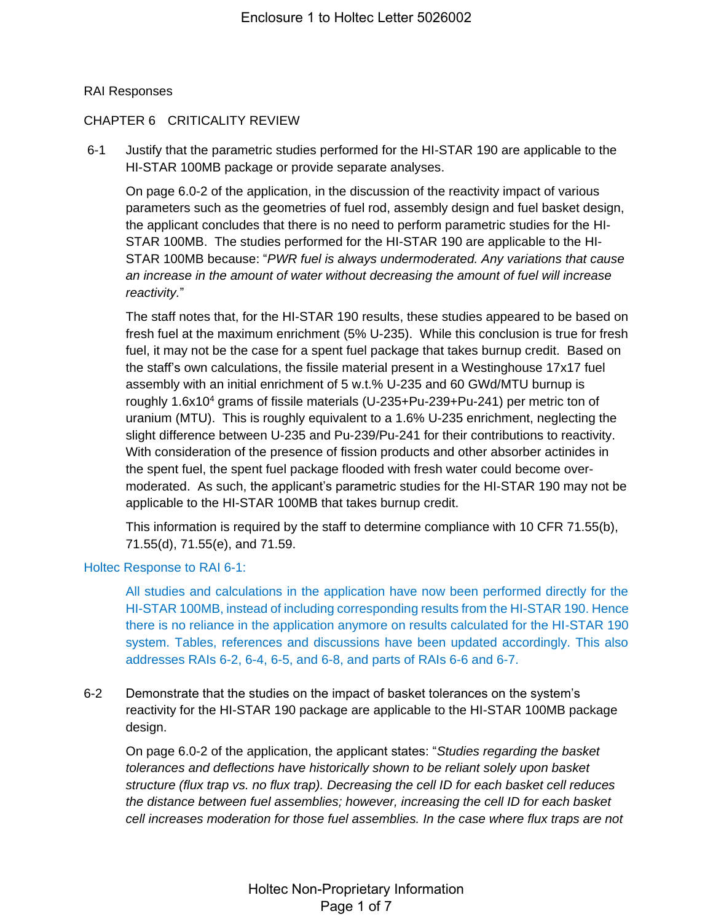## RAI Responses

## CHAPTER 6 CRITICALITY REVIEW

6-1 Justify that the parametric studies performed for the HI-STAR 190 are applicable to the HI-STAR 100MB package or provide separate analyses.

On page 6.0-2 of the application, in the discussion of the reactivity impact of various parameters such as the geometries of fuel rod, assembly design and fuel basket design, the applicant concludes that there is no need to perform parametric studies for the HI-STAR 100MB. The studies performed for the HI-STAR 190 are applicable to the HI-STAR 100MB because: "*PWR fuel is always undermoderated. Any variations that cause an increase in the amount of water without decreasing the amount of fuel will increase reactivity.*"

The staff notes that, for the HI-STAR 190 results, these studies appeared to be based on fresh fuel at the maximum enrichment (5% U-235). While this conclusion is true for fresh fuel, it may not be the case for a spent fuel package that takes burnup credit. Based on the staff's own calculations, the fissile material present in a Westinghouse 17x17 fuel assembly with an initial enrichment of 5 w.t.% U-235 and 60 GWd/MTU burnup is roughly 1.6x10<sup>4</sup> grams of fissile materials (U-235+Pu-239+Pu-241) per metric ton of uranium (MTU). This is roughly equivalent to a 1.6% U-235 enrichment, neglecting the slight difference between U-235 and Pu-239/Pu-241 for their contributions to reactivity. With consideration of the presence of fission products and other absorber actinides in the spent fuel, the spent fuel package flooded with fresh water could become overmoderated. As such, the applicant's parametric studies for the HI-STAR 190 may not be applicable to the HI-STAR 100MB that takes burnup credit.

This information is required by the staff to determine compliance with 10 CFR 71.55(b), 71.55(d), 71.55(e), and 71.59.

#### Holtec Response to RAI 6-1:

All studies and calculations in the application have now been performed directly for the HI-STAR 100MB, instead of including corresponding results from the HI-STAR 190. Hence there is no reliance in the application anymore on results calculated for the HI-STAR 190 system. Tables, references and discussions have been updated accordingly. This also addresses RAIs 6-2, 6-4, 6-5, and 6-8, and parts of RAIs 6-6 and 6-7.

6-2 Demonstrate that the studies on the impact of basket tolerances on the system's reactivity for the HI-STAR 190 package are applicable to the HI-STAR 100MB package design.

On page 6.0-2 of the application, the applicant states: "*Studies regarding the basket tolerances and deflections have historically shown to be reliant solely upon basket structure (flux trap vs. no flux trap). Decreasing the cell ID for each basket cell reduces the distance between fuel assemblies; however, increasing the cell ID for each basket cell increases moderation for those fuel assemblies. In the case where flux traps are not*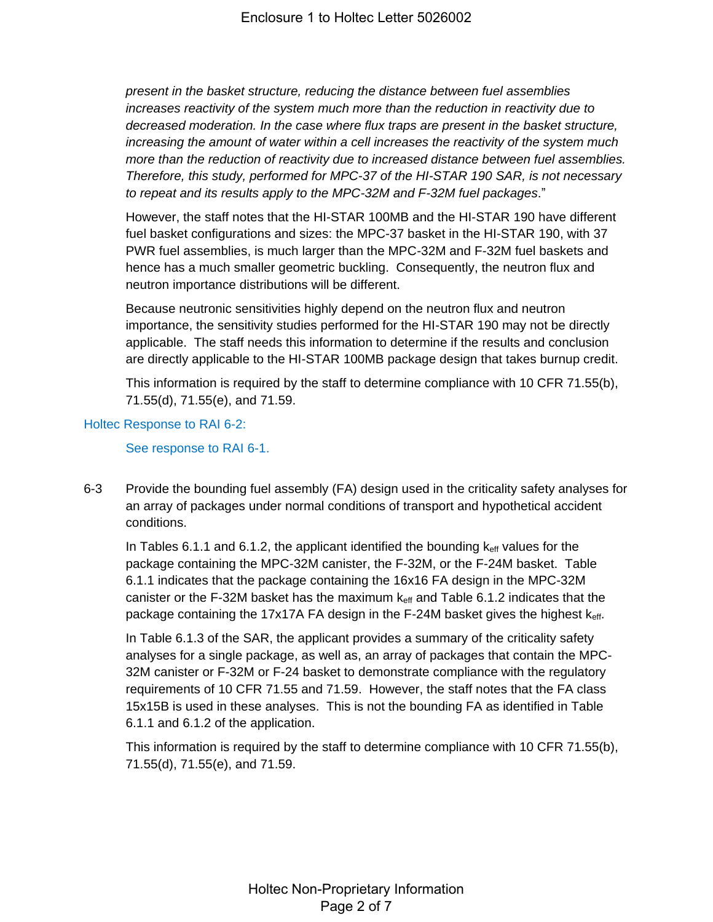*present in the basket structure, reducing the distance between fuel assemblies increases reactivity of the system much more than the reduction in reactivity due to decreased moderation. In the case where flux traps are present in the basket structure, increasing the amount of water within a cell increases the reactivity of the system much more than the reduction of reactivity due to increased distance between fuel assemblies. Therefore, this study, performed for MPC-37 of the HI-STAR 190 SAR, is not necessary to repeat and its results apply to the MPC-32M and F-32M fuel packages*."

However, the staff notes that the HI-STAR 100MB and the HI-STAR 190 have different fuel basket configurations and sizes: the MPC-37 basket in the HI-STAR 190, with 37 PWR fuel assemblies, is much larger than the MPC-32M and F-32M fuel baskets and hence has a much smaller geometric buckling. Consequently, the neutron flux and neutron importance distributions will be different.

Because neutronic sensitivities highly depend on the neutron flux and neutron importance, the sensitivity studies performed for the HI-STAR 190 may not be directly applicable. The staff needs this information to determine if the results and conclusion are directly applicable to the HI-STAR 100MB package design that takes burnup credit.

This information is required by the staff to determine compliance with 10 CFR 71.55(b), 71.55(d), 71.55(e), and 71.59.

## Holtec Response to RAI 6-2:

See response to RAI 6-1.

6-3 Provide the bounding fuel assembly (FA) design used in the criticality safety analyses for an array of packages under normal conditions of transport and hypothetical accident conditions.

In Tables 6.1.1 and 6.1.2, the applicant identified the bounding  $k_{\text{eff}}$  values for the package containing the MPC-32M canister, the F-32M, or the F-24M basket. Table 6.1.1 indicates that the package containing the 16x16 FA design in the MPC-32M canister or the F-32M basket has the maximum  $k<sub>eff</sub>$  and Table 6.1.2 indicates that the package containing the 17x17A FA design in the F-24M basket gives the highest keff.

In Table 6.1.3 of the SAR, the applicant provides a summary of the criticality safety analyses for a single package, as well as, an array of packages that contain the MPC-32M canister or F-32M or F-24 basket to demonstrate compliance with the regulatory requirements of 10 CFR 71.55 and 71.59. However, the staff notes that the FA class 15x15B is used in these analyses. This is not the bounding FA as identified in Table 6.1.1 and 6.1.2 of the application.

This information is required by the staff to determine compliance with 10 CFR 71.55(b), 71.55(d), 71.55(e), and 71.59.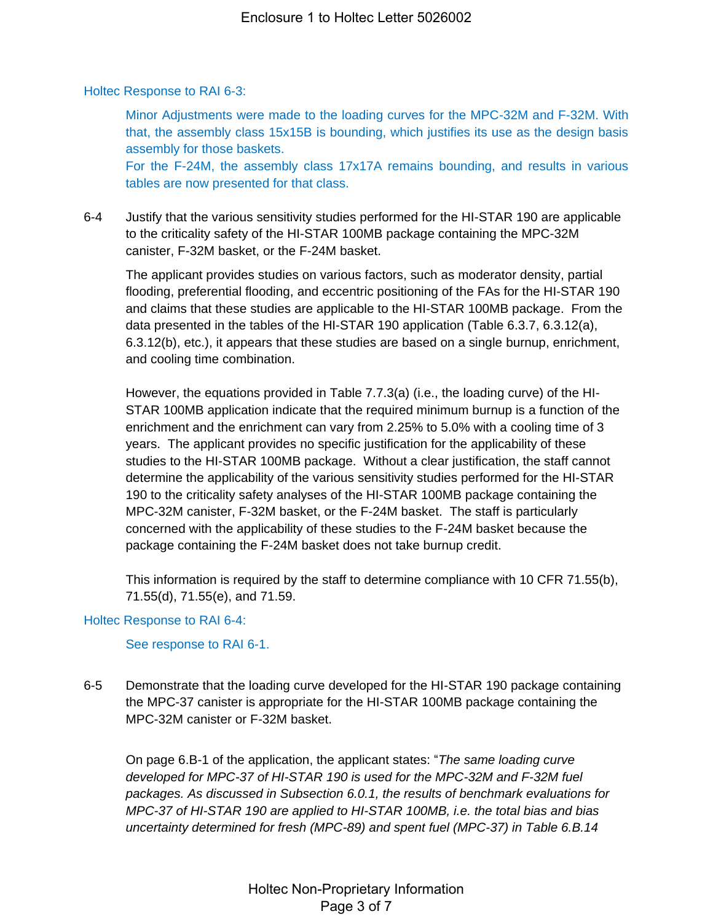Holtec Response to RAI 6-3:

Minor Adjustments were made to the loading curves for the MPC-32M and F-32M. With that, the assembly class 15x15B is bounding, which justifies its use as the design basis assembly for those baskets. For the F-24M, the assembly class 17x17A remains bounding, and results in various tables are now presented for that class.

6-4 Justify that the various sensitivity studies performed for the HI-STAR 190 are applicable to the criticality safety of the HI-STAR 100MB package containing the MPC-32M canister, F-32M basket, or the F-24M basket.

The applicant provides studies on various factors, such as moderator density, partial flooding, preferential flooding, and eccentric positioning of the FAs for the HI-STAR 190 and claims that these studies are applicable to the HI-STAR 100MB package. From the data presented in the tables of the HI-STAR 190 application (Table 6.3.7, 6.3.12(a), 6.3.12(b), etc.), it appears that these studies are based on a single burnup, enrichment, and cooling time combination.

However, the equations provided in Table 7.7.3(a) (i.e., the loading curve) of the HI-STAR 100MB application indicate that the required minimum burnup is a function of the enrichment and the enrichment can vary from 2.25% to 5.0% with a cooling time of 3 years. The applicant provides no specific justification for the applicability of these studies to the HI-STAR 100MB package. Without a clear justification, the staff cannot determine the applicability of the various sensitivity studies performed for the HI-STAR 190 to the criticality safety analyses of the HI-STAR 100MB package containing the MPC-32M canister, F-32M basket, or the F-24M basket. The staff is particularly concerned with the applicability of these studies to the F-24M basket because the package containing the F-24M basket does not take burnup credit.

This information is required by the staff to determine compliance with 10 CFR 71.55(b), 71.55(d), 71.55(e), and 71.59.

# Holtec Response to RAI 6-4:

See response to RAI 6-1.

6-5 Demonstrate that the loading curve developed for the HI-STAR 190 package containing the MPC-37 canister is appropriate for the HI-STAR 100MB package containing the MPC-32M canister or F-32M basket.

On page 6.B-1 of the application, the applicant states: "*The same loading curve developed for MPC-37 of HI-STAR 190 is used for the MPC-32M and F-32M fuel packages. As discussed in Subsection 6.0.1, the results of benchmark evaluations for MPC-37 of HI-STAR 190 are applied to HI-STAR 100MB, i.e. the total bias and bias uncertainty determined for fresh (MPC-89) and spent fuel (MPC-37) in Table 6.B.14*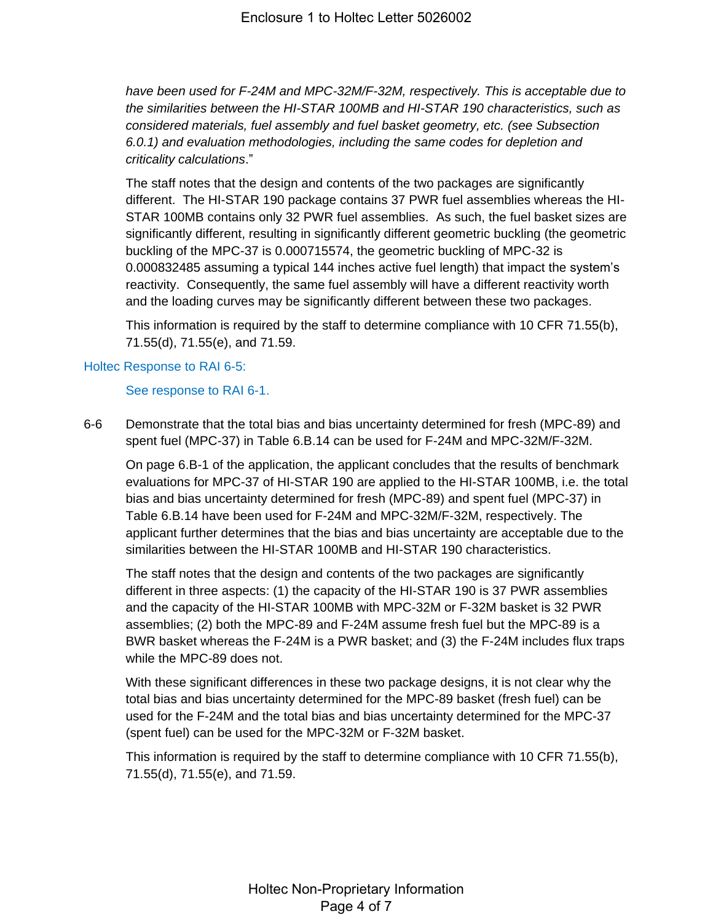*have been used for F-24M and MPC-32M/F-32M, respectively. This is acceptable due to the similarities between the HI-STAR 100MB and HI-STAR 190 characteristics, such as considered materials, fuel assembly and fuel basket geometry, etc. (see Subsection 6.0.1) and evaluation methodologies, including the same codes for depletion and criticality calculations*."

The staff notes that the design and contents of the two packages are significantly different. The HI-STAR 190 package contains 37 PWR fuel assemblies whereas the HI-STAR 100MB contains only 32 PWR fuel assemblies. As such, the fuel basket sizes are significantly different, resulting in significantly different geometric buckling (the geometric buckling of the MPC-37 is 0.000715574, the geometric buckling of MPC-32 is 0.000832485 assuming a typical 144 inches active fuel length) that impact the system's reactivity. Consequently, the same fuel assembly will have a different reactivity worth and the loading curves may be significantly different between these two packages.

This information is required by the staff to determine compliance with 10 CFR 71.55(b), 71.55(d), 71.55(e), and 71.59.

# Holtec Response to RAI 6-5:

## See response to RAI 6-1.

6-6 Demonstrate that the total bias and bias uncertainty determined for fresh (MPC-89) and spent fuel (MPC-37) in Table 6.B.14 can be used for F-24M and MPC-32M/F-32M.

On page 6.B-1 of the application, the applicant concludes that the results of benchmark evaluations for MPC-37 of HI-STAR 190 are applied to the HI-STAR 100MB, i.e. the total bias and bias uncertainty determined for fresh (MPC-89) and spent fuel (MPC-37) in Table 6.B.14 have been used for F-24M and MPC-32M/F-32M, respectively. The applicant further determines that the bias and bias uncertainty are acceptable due to the similarities between the HI-STAR 100MB and HI-STAR 190 characteristics.

The staff notes that the design and contents of the two packages are significantly different in three aspects: (1) the capacity of the HI-STAR 190 is 37 PWR assemblies and the capacity of the HI-STAR 100MB with MPC-32M or F-32M basket is 32 PWR assemblies; (2) both the MPC-89 and F-24M assume fresh fuel but the MPC-89 is a BWR basket whereas the F-24M is a PWR basket; and (3) the F-24M includes flux traps while the MPC-89 does not.

With these significant differences in these two package designs, it is not clear why the total bias and bias uncertainty determined for the MPC-89 basket (fresh fuel) can be used for the F-24M and the total bias and bias uncertainty determined for the MPC-37 (spent fuel) can be used for the MPC-32M or F-32M basket.

This information is required by the staff to determine compliance with 10 CFR 71.55(b), 71.55(d), 71.55(e), and 71.59.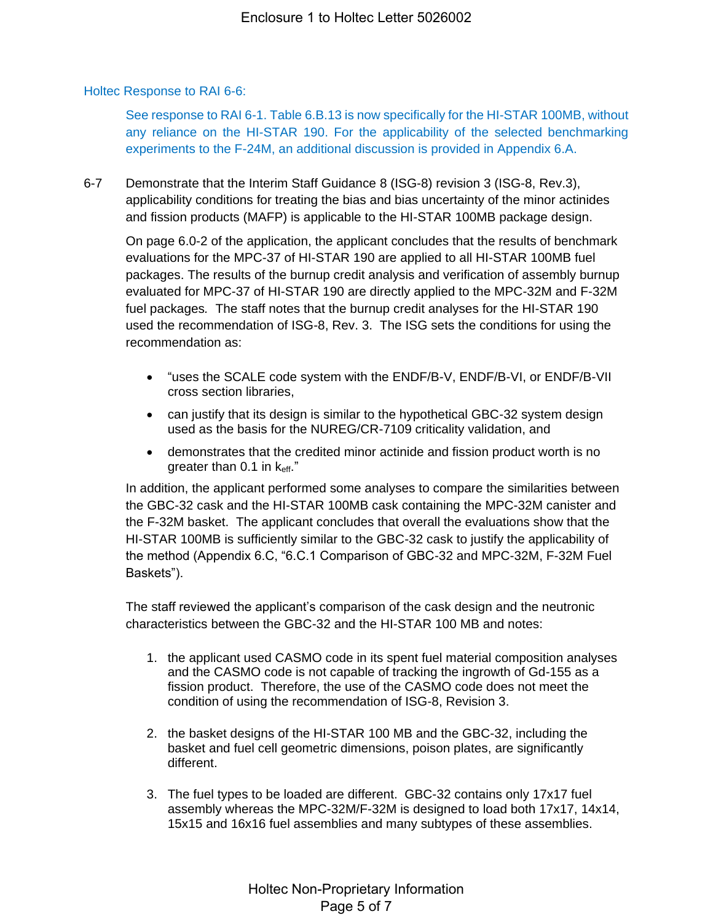## Holtec Response to RAI 6-6:

See response to RAI 6-1. Table 6.B.13 is now specifically for the HI-STAR 100MB, without any reliance on the HI-STAR 190. For the applicability of the selected benchmarking experiments to the F-24M, an additional discussion is provided in Appendix 6.A.

6-7 Demonstrate that the Interim Staff Guidance 8 (ISG-8) revision 3 (ISG-8, Rev.3), applicability conditions for treating the bias and bias uncertainty of the minor actinides and fission products (MAFP) is applicable to the HI-STAR 100MB package design.

On page 6.0-2 of the application, the applicant concludes that the results of benchmark evaluations for the MPC-37 of HI-STAR 190 are applied to all HI-STAR 100MB fuel packages. The results of the burnup credit analysis and verification of assembly burnup evaluated for MPC-37 of HI-STAR 190 are directly applied to the MPC-32M and F-32M fuel packages*.* The staff notes that the burnup credit analyses for the HI-STAR 190 used the recommendation of ISG-8, Rev. 3. The ISG sets the conditions for using the recommendation as:

- "uses the SCALE code system with the ENDF/B-V, ENDF/B-VI, or ENDF/B-VII cross section libraries,
- can justify that its design is similar to the hypothetical GBC-32 system design used as the basis for the NUREG/CR-7109 criticality validation, and
- demonstrates that the credited minor actinide and fission product worth is no greater than 0.1 in keff."

In addition, the applicant performed some analyses to compare the similarities between the GBC-32 cask and the HI-STAR 100MB cask containing the MPC-32M canister and the F-32M basket. The applicant concludes that overall the evaluations show that the HI-STAR 100MB is sufficiently similar to the GBC-32 cask to justify the applicability of the method (Appendix 6.C, "6.C.1 Comparison of GBC-32 and MPC-32M, F-32M Fuel Baskets").

The staff reviewed the applicant's comparison of the cask design and the neutronic characteristics between the GBC-32 and the HI-STAR 100 MB and notes:

- 1. the applicant used CASMO code in its spent fuel material composition analyses and the CASMO code is not capable of tracking the ingrowth of Gd-155 as a fission product. Therefore, the use of the CASMO code does not meet the condition of using the recommendation of ISG-8, Revision 3.
- 2. the basket designs of the HI-STAR 100 MB and the GBC-32, including the basket and fuel cell geometric dimensions, poison plates, are significantly different.
- 3. The fuel types to be loaded are different. GBC-32 contains only 17x17 fuel assembly whereas the MPC-32M/F-32M is designed to load both 17x17, 14x14, 15x15 and 16x16 fuel assemblies and many subtypes of these assemblies.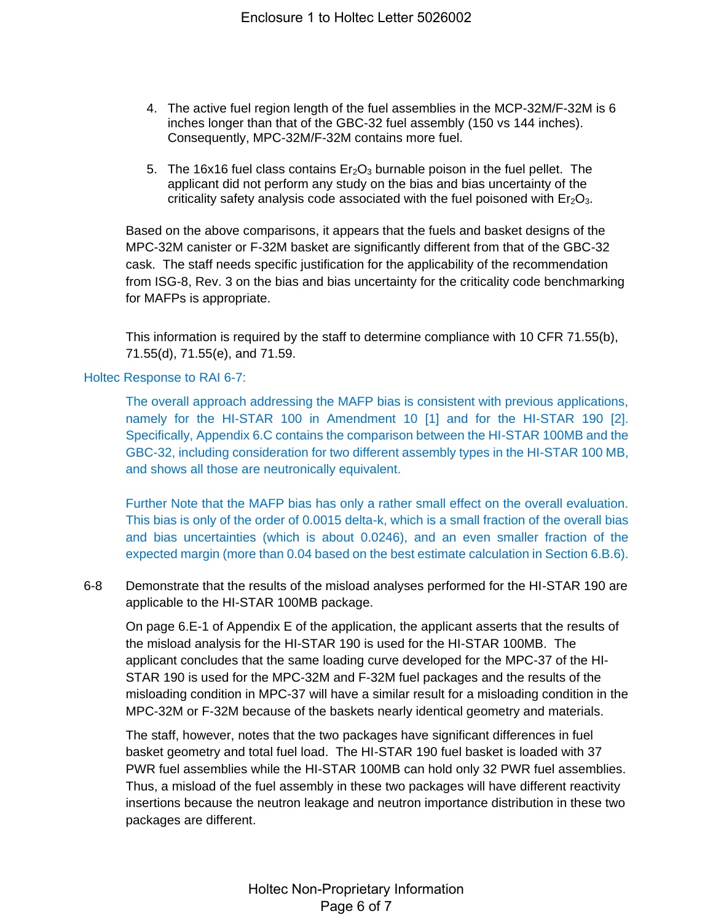- 4. The active fuel region length of the fuel assemblies in the MCP-32M/F-32M is 6 inches longer than that of the GBC-32 fuel assembly (150 vs 144 inches). Consequently, MPC-32M/F-32M contains more fuel.
- 5. The 16x16 fuel class contains  $E_7O_3$  burnable poison in the fuel pellet. The applicant did not perform any study on the bias and bias uncertainty of the criticality safety analysis code associated with the fuel poisoned with  $Er<sub>2</sub>O<sub>3</sub>$ .

Based on the above comparisons, it appears that the fuels and basket designs of the MPC-32M canister or F-32M basket are significantly different from that of the GBC-32 cask. The staff needs specific justification for the applicability of the recommendation from ISG-8, Rev. 3 on the bias and bias uncertainty for the criticality code benchmarking for MAFPs is appropriate.

This information is required by the staff to determine compliance with 10 CFR 71.55(b), 71.55(d), 71.55(e), and 71.59.

#### Holtec Response to RAI 6-7:

The overall approach addressing the MAFP bias is consistent with previous applications, namely for the HI-STAR 100 in Amendment 10 [1] and for the HI-STAR 190 [2]. Specifically, Appendix 6.C contains the comparison between the HI-STAR 100MB and the GBC-32, including consideration for two different assembly types in the HI-STAR 100 MB, and shows all those are neutronically equivalent.

Further Note that the MAFP bias has only a rather small effect on the overall evaluation. This bias is only of the order of 0.0015 delta-k, which is a small fraction of the overall bias and bias uncertainties (which is about 0.0246), and an even smaller fraction of the expected margin (more than 0.04 based on the best estimate calculation in Section 6.B.6).

6-8 Demonstrate that the results of the misload analyses performed for the HI-STAR 190 are applicable to the HI-STAR 100MB package.

On page 6.E-1 of Appendix E of the application, the applicant asserts that the results of the misload analysis for the HI-STAR 190 is used for the HI-STAR 100MB. The applicant concludes that the same loading curve developed for the MPC-37 of the HI-STAR 190 is used for the MPC-32M and F-32M fuel packages and the results of the misloading condition in MPC-37 will have a similar result for a misloading condition in the MPC-32M or F-32M because of the baskets nearly identical geometry and materials.

The staff, however, notes that the two packages have significant differences in fuel basket geometry and total fuel load. The HI-STAR 190 fuel basket is loaded with 37 PWR fuel assemblies while the HI-STAR 100MB can hold only 32 PWR fuel assemblies. Thus, a misload of the fuel assembly in these two packages will have different reactivity insertions because the neutron leakage and neutron importance distribution in these two packages are different.